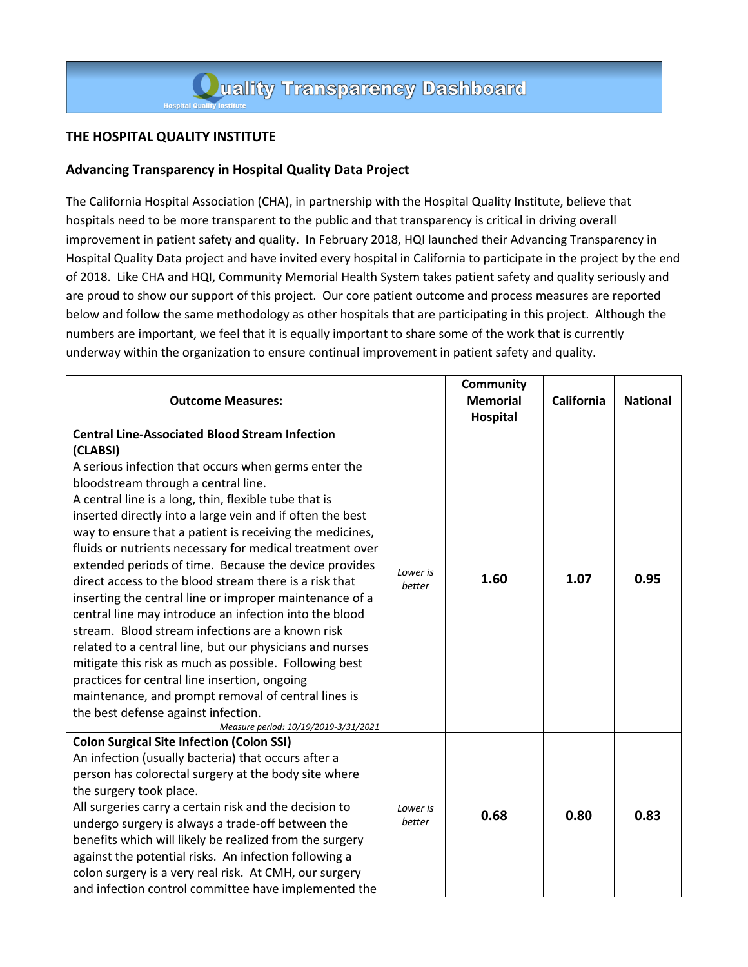## **THE HOSPITAL QUALITY INSTITUTE**

## **Advancing Transparency in Hospital Quality Data Project**

The California Hospital Association (CHA), in partnership with the Hospital Quality Institute, believe that hospitals need to be more transparent to the public and that transparency is critical in driving overall improvement in patient safety and quality. In February 2018, HQI launched their Advancing Transparency in Hospital Quality Data project and have invited every hospital in California to participate in the project by the end of 2018. Like CHA and HQI, Community Memorial Health System takes patient safety and quality seriously and are proud to show our support of this project. Our core patient outcome and process measures are reported below and follow the same methodology as other hospitals that are participating in this project. Although the numbers are important, we feel that it is equally important to share some of the work that is currently underway within the organization to ensure continual improvement in patient safety and quality.

| <b>Outcome Measures:</b>                                                                                                                                                                                                                                                                                                                                                                                                                                                                                                                                                                                                                                                                                                                                                                                                                                                                                                                                                                                                |                    | <b>Community</b><br><b>Memorial</b><br><b>Hospital</b> | <b>California</b> | <b>National</b> |
|-------------------------------------------------------------------------------------------------------------------------------------------------------------------------------------------------------------------------------------------------------------------------------------------------------------------------------------------------------------------------------------------------------------------------------------------------------------------------------------------------------------------------------------------------------------------------------------------------------------------------------------------------------------------------------------------------------------------------------------------------------------------------------------------------------------------------------------------------------------------------------------------------------------------------------------------------------------------------------------------------------------------------|--------------------|--------------------------------------------------------|-------------------|-----------------|
| <b>Central Line-Associated Blood Stream Infection</b><br>(CLABSI)<br>A serious infection that occurs when germs enter the<br>bloodstream through a central line.<br>A central line is a long, thin, flexible tube that is<br>inserted directly into a large vein and if often the best<br>way to ensure that a patient is receiving the medicines,<br>fluids or nutrients necessary for medical treatment over<br>extended periods of time. Because the device provides<br>direct access to the blood stream there is a risk that<br>inserting the central line or improper maintenance of a<br>central line may introduce an infection into the blood<br>stream. Blood stream infections are a known risk<br>related to a central line, but our physicians and nurses<br>mitigate this risk as much as possible. Following best<br>practices for central line insertion, ongoing<br>maintenance, and prompt removal of central lines is<br>the best defense against infection.<br>Measure period: 10/19/2019-3/31/2021 | Lower is<br>better | 1.60                                                   | 1.07              | 0.95            |
| <b>Colon Surgical Site Infection (Colon SSI)</b><br>An infection (usually bacteria) that occurs after a<br>person has colorectal surgery at the body site where<br>the surgery took place.<br>All surgeries carry a certain risk and the decision to<br>undergo surgery is always a trade-off between the<br>benefits which will likely be realized from the surgery<br>against the potential risks. An infection following a<br>colon surgery is a very real risk. At CMH, our surgery<br>and infection control committee have implemented the                                                                                                                                                                                                                                                                                                                                                                                                                                                                         | Lower is<br>better | 0.68                                                   | 0.80              | 0.83            |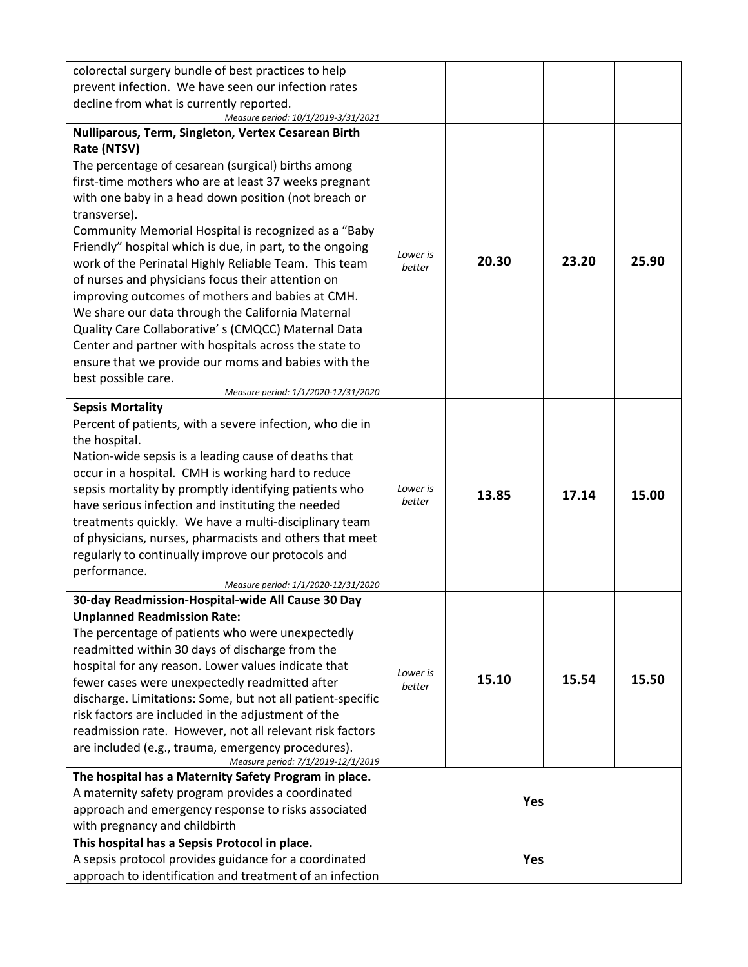| colorectal surgery bundle of best practices to help                                                                                                                                                                                                                                                                                                                                                                                                                                                                                                                                                                                                                                                                                                                                                                                      |                    |            |       |       |
|------------------------------------------------------------------------------------------------------------------------------------------------------------------------------------------------------------------------------------------------------------------------------------------------------------------------------------------------------------------------------------------------------------------------------------------------------------------------------------------------------------------------------------------------------------------------------------------------------------------------------------------------------------------------------------------------------------------------------------------------------------------------------------------------------------------------------------------|--------------------|------------|-------|-------|
| prevent infection. We have seen our infection rates                                                                                                                                                                                                                                                                                                                                                                                                                                                                                                                                                                                                                                                                                                                                                                                      |                    |            |       |       |
| decline from what is currently reported.<br>Measure period: 10/1/2019-3/31/2021                                                                                                                                                                                                                                                                                                                                                                                                                                                                                                                                                                                                                                                                                                                                                          |                    |            |       |       |
| Nulliparous, Term, Singleton, Vertex Cesarean Birth<br>Rate (NTSV)<br>The percentage of cesarean (surgical) births among<br>first-time mothers who are at least 37 weeks pregnant<br>with one baby in a head down position (not breach or<br>transverse).<br>Community Memorial Hospital is recognized as a "Baby<br>Friendly" hospital which is due, in part, to the ongoing<br>work of the Perinatal Highly Reliable Team. This team<br>of nurses and physicians focus their attention on<br>improving outcomes of mothers and babies at CMH.<br>We share our data through the California Maternal<br>Quality Care Collaborative's (CMQCC) Maternal Data<br>Center and partner with hospitals across the state to<br>ensure that we provide our moms and babies with the<br>best possible care.<br>Measure period: 1/1/2020-12/31/2020 | Lower is<br>better | 20.30      | 23.20 | 25.90 |
| <b>Sepsis Mortality</b>                                                                                                                                                                                                                                                                                                                                                                                                                                                                                                                                                                                                                                                                                                                                                                                                                  |                    |            |       |       |
| Percent of patients, with a severe infection, who die in<br>the hospital.<br>Nation-wide sepsis is a leading cause of deaths that<br>occur in a hospital. CMH is working hard to reduce<br>sepsis mortality by promptly identifying patients who<br>have serious infection and instituting the needed<br>treatments quickly. We have a multi-disciplinary team<br>of physicians, nurses, pharmacists and others that meet<br>regularly to continually improve our protocols and<br>performance.<br>Measure period: 1/1/2020-12/31/2020                                                                                                                                                                                                                                                                                                   | Lower is<br>better | 13.85      | 17.14 | 15.00 |
| 30-day Readmission-Hospital-wide All Cause 30 Day                                                                                                                                                                                                                                                                                                                                                                                                                                                                                                                                                                                                                                                                                                                                                                                        |                    |            |       |       |
| <b>Unplanned Readmission Rate:</b><br>The percentage of patients who were unexpectedly<br>readmitted within 30 days of discharge from the<br>hospital for any reason. Lower values indicate that<br>fewer cases were unexpectedly readmitted after<br>discharge. Limitations: Some, but not all patient-specific<br>risk factors are included in the adjustment of the<br>readmission rate. However, not all relevant risk factors<br>are included (e.g., trauma, emergency procedures).<br>Measure period: 7/1/2019-12/1/2019                                                                                                                                                                                                                                                                                                           | Lower is<br>better | 15.10      | 15.54 | 15.50 |
| The hospital has a Maternity Safety Program in place.                                                                                                                                                                                                                                                                                                                                                                                                                                                                                                                                                                                                                                                                                                                                                                                    |                    |            |       |       |
| A maternity safety program provides a coordinated                                                                                                                                                                                                                                                                                                                                                                                                                                                                                                                                                                                                                                                                                                                                                                                        | <b>Yes</b>         |            |       |       |
| approach and emergency response to risks associated                                                                                                                                                                                                                                                                                                                                                                                                                                                                                                                                                                                                                                                                                                                                                                                      |                    |            |       |       |
| with pregnancy and childbirth<br>This hospital has a Sepsis Protocol in place.                                                                                                                                                                                                                                                                                                                                                                                                                                                                                                                                                                                                                                                                                                                                                           |                    |            |       |       |
| A sepsis protocol provides guidance for a coordinated                                                                                                                                                                                                                                                                                                                                                                                                                                                                                                                                                                                                                                                                                                                                                                                    |                    | <b>Yes</b> |       |       |
| approach to identification and treatment of an infection                                                                                                                                                                                                                                                                                                                                                                                                                                                                                                                                                                                                                                                                                                                                                                                 |                    |            |       |       |